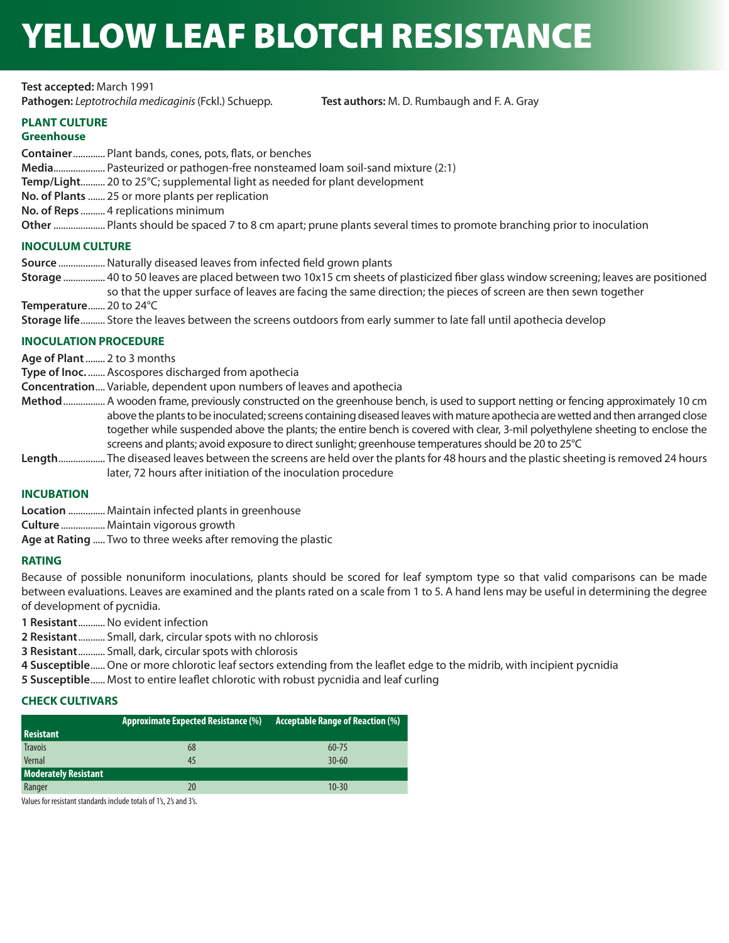# YELLOW LEAF BLOTCH RESISTANCE

**Test accepted:** March 1991 **Pathogen:** *Leptotrochila medicaginis* (Fckl.) Schuepp. **Test authors:** M. D. Rumbaugh and F. A. Gray

# **PLANT CULTURE**

# **Greenhouse**

**Container**............. Plant bands, cones, pots, flats, or benches **Media**..................... Pasteurized or pathogen-free nonsteamed loam soil-sand mixture (2:1) **Temp/Light**.......... 20 to 25°C; supplemental light as needed for plant development **No. of Plants** ....... 25 or more plants per replication **No. of Reps** .......... 4 replications minimum **Other**..................... Plants should be spaced 7 to 8 cm apart; prune plants several times to promote branching prior to inoculation

# **INOCULUM CULTURE**

**Source** ...................Naturally diseased leaves from infected field grown plants

- **Storage** ................. 40 to 50 leaves are placed between two 10x15 cm sheets of plasticized fiber glass window screening; leaves are positioned so that the upper surface of leaves are facing the same direction; the pieces of screen are then sewn together
- **Temperature**....... 20 to 24°C

**Storage life**.......... Store the leaves between the screens outdoors from early summer to late fall until apothecia develop

# **INOCULATION PROCEDURE**

**Age of Plant** ........ 2 to 3 months

**Type of Inoc.** ....... Ascospores discharged from apothecia

- **Concentration** .... Variable, dependent upon numbers of leaves and apothecia
- **Method** ................. A wooden frame, previously constructed on the greenhouse bench, is used to support netting or fencing approximately 10 cm above the plants to be inoculated; screens containing diseased leaves with mature apothecia are wetted and then arranged close together while suspended above the plants; the entire bench is covered with clear, 3-mil polyethylene sheeting to enclose the screens and plants; avoid exposure to direct sunlight; greenhouse temperatures should be 20 to 25°C
- **Length** ................... The diseased leaves between the screens are held over the plants for 48 hours and the plastic sheeting is removed 24 hours later, 72 hours after initiation of the inoculation procedure

# **INCUBATION**

**Location** ............... Maintain infected plants in greenhouse

**Culture** .................. Maintain vigorous growth

**Age at Rating** ..... Two to three weeks after removing the plastic

# **RATING**

Because of possible nonuniform inoculations, plants should be scored for leaf symptom type so that valid comparisons can be made between evaluations. Leaves are examined and the plants rated on a scale from 1 to 5. A hand lens may be useful in determining the degree of development of pycnidia.

**1 Resistant**...........No evident infection

**2 Resistant**........... Small, dark, circular spots with no chlorosis

**3 Resistant**........... Small, dark, circular spots with chlorosis

**4 Susceptible**......One or more chlorotic leaf sectors extending from the leaflet edge to the midrib, with incipient pycnidia

**5 Susceptible**...... Most to entire leaflet chlorotic with robust pycnidia and leaf curling

# **CHECK CULTIVARS**

| Resistant                   | <b>Approximate Expected Resistance (%)</b> | <b>Acceptable Range of Reaction (%)</b> |
|-----------------------------|--------------------------------------------|-----------------------------------------|
| <b>Travois</b>              | 68                                         | $60 - 75$                               |
| Vernal                      | 45                                         | $30 - 60$                               |
| <b>Moderately Resistant</b> |                                            |                                         |
| Ranger                      | 20                                         | $10 - 30$                               |

Values for resistant standards include totals of 1's, 2's and 3's.